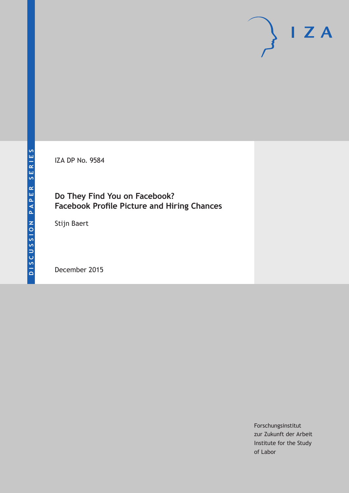IZA DP No. 9584

# **Do They Find You on Facebook? Facebook Profile Picture and Hiring Chances**

Stijn Baert

December 2015

Forschungsinstitut zur Zukunft der Arbeit Institute for the Study of Labor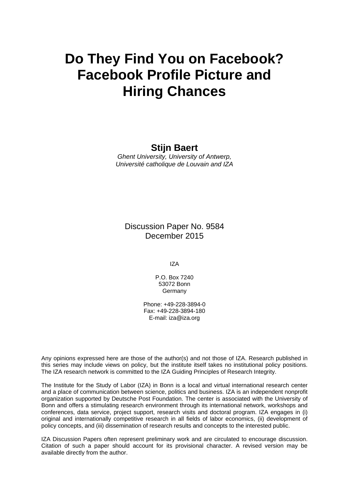# **Do They Find You on Facebook? Facebook Profile Picture and Hiring Chances**

# **Stijn Baert**

*Ghent University, University of Antwerp, Université catholique de Louvain and IZA* 

Discussion Paper No. 9584 December 2015

IZA

P.O. Box 7240 53072 Bonn **Germany** 

Phone: +49-228-3894-0 Fax: +49-228-3894-180 E-mail: iza@iza.org

Any opinions expressed here are those of the author(s) and not those of IZA. Research published in this series may include views on policy, but the institute itself takes no institutional policy positions. The IZA research network is committed to the IZA Guiding Principles of Research Integrity.

The Institute for the Study of Labor (IZA) in Bonn is a local and virtual international research center and a place of communication between science, politics and business. IZA is an independent nonprofit organization supported by Deutsche Post Foundation. The center is associated with the University of Bonn and offers a stimulating research environment through its international network, workshops and conferences, data service, project support, research visits and doctoral program. IZA engages in (i) original and internationally competitive research in all fields of labor economics, (ii) development of policy concepts, and (iii) dissemination of research results and concepts to the interested public.

IZA Discussion Papers often represent preliminary work and are circulated to encourage discussion. Citation of such a paper should account for its provisional character. A revised version may be available directly from the author.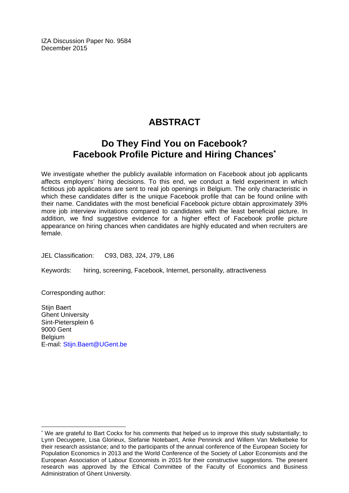IZA Discussion Paper No. 9584 December 2015

# **ABSTRACT**

# **Do They Find You on Facebook? Facebook Profile Picture and Hiring Chances\***

We investigate whether the publicly available information on Facebook about job applicants affects employers' hiring decisions. To this end, we conduct a field experiment in which fictitious job applications are sent to real job openings in Belgium. The only characteristic in which these candidates differ is the unique Facebook profile that can be found online with their name. Candidates with the most beneficial Facebook picture obtain approximately 39% more job interview invitations compared to candidates with the least beneficial picture. In addition, we find suggestive evidence for a higher effect of Facebook profile picture appearance on hiring chances when candidates are highly educated and when recruiters are female.

JEL Classification: C93, D83, J24, J79, L86

Keywords: hiring, screening, Facebook, Internet, personality, attractiveness

Corresponding author:

 $\overline{a}$ 

Stiin Baert Ghent University Sint-Pietersplein 6 9000 Gent **Belgium** E-mail: Stijn.Baert@UGent.be

<sup>\*</sup> We are grateful to Bart Cockx for his comments that helped us to improve this study substantially; to Lynn Decuypere, Lisa Glorieux, Stefanie Notebaert, Anke Penninck and Willem Van Melkebeke for their research assistance; and to the participants of the annual conference of the European Society for Population Economics in 2013 and the World Conference of the Society of Labor Economists and the European Association of Labour Economists in 2015 for their constructive suggestions. The present research was approved by the Ethical Committee of the Faculty of Economics and Business Administration of Ghent University.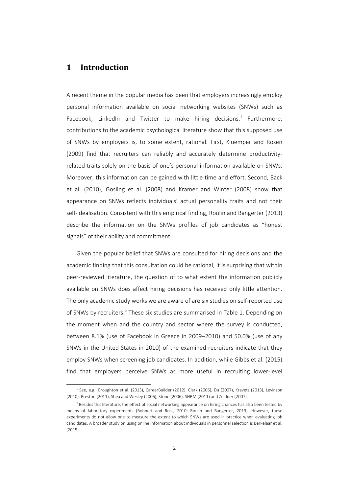## **1 Introduction**

l

A recent theme in the popular media has been that employers increasingly employ personal information available on social networking websites (SNWs) such as Facebook, LinkedIn and Twitter to make hiring decisions.<sup>1</sup> Furthermore, contributions to the academic psychological literature show that this supposed use of SNWs by employers is, to some extent, rational. First, Kluemper and Rosen (2009) find that recruiters can reliably and accurately determine productivity‐ related traits solely on the basis of one's personal information available on SNWs. Moreover, this information can be gained with little time and effort. Second, Back et al. (2010), Gosling et al. (2008) and Kramer and Winter (2008) show that appearance on SNWs reflects individuals' actual personality traits and not their self-idealisation. Consistent with this empirical finding, Roulin and Bangerter (2013) describe the information on the SNWs profiles of job candidates as "honest signals" of their ability and commitment.

Given the popular belief that SNWs are consulted for hiring decisions and the academic finding that this consultation could be rational, it is surprising that within peer-reviewed literature, the question of to what extent the information publicly available on SNWs does affect hiring decisions has received only little attention. The only academic study works we are aware of are six studies on self‐reported use of SNWs by recruiters.2 These six studies are summarised in Table 1. Depending on the moment when and the country and sector where the survey is conducted, between 8.1% (use of Facebook in Greece in 2009–2010) and 50.0% (use of any SNWs in the United States in 2010) of the examined recruiters indicate that they employ SNWs when screening job candidates. In addition, while Gibbs et al. (2015) find that employers perceive SNWs as more useful in recruiting lower-level

<sup>1</sup> See, e.g., Broughton et al. (2013), CareerBuilder (2012), Clark (2006), Du (2007), Kravets (2013), Levinson (2010), Preston (2011), Shea and Wesley (2006), Stone (2006), SHRM (2011) and Zeidner (2007).

<sup>&</sup>lt;sup>2</sup> Besides this literature, the effect of social networking appearance on hiring chances has also been tested by means of laboratory experiments (Bohnert and Ross, 2010; Roulin and Bangerter, 2013). However, these experiments do not allow one to measure the extent to which SNWs are used in practice when evaluating job candidates. A broader study on using online information about individuals in personnel selection is Berkelaar et al.  $(2015)$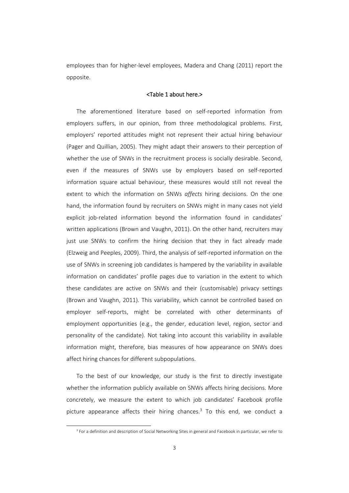employees than for higher-level employees, Madera and Chang (2011) report the opposite.

#### <Table 1 about here.>

The aforementioned literature based on self‐reported information from employers suffers, in our opinion, from three methodological problems. First, employers' reported attitudes might not represent their actual hiring behaviour (Pager and Quillian, 2005). They might adapt their answers to their perception of whether the use of SNWs in the recruitment process is socially desirable. Second, even if the measures of SNWs use by employers based on self‐reported information square actual behaviour, these measures would still not reveal the extent to which the information on SNWs *affects* hiring decisions. On the one hand, the information found by recruiters on SNWs might in many cases not yield explicit job-related information beyond the information found in candidates' written applications (Brown and Vaughn, 2011). On the other hand, recruiters may just use SNWs to confirm the hiring decision that they in fact already made (Elzweig and Peeples, 2009). Third, the analysis of self‐reported information on the use of SNWs in screening job candidates is hampered by the variability in available information on candidates' profile pages due to variation in the extent to which these candidates are active on SNWs and their (customisable) privacy settings (Brown and Vaughn, 2011). This variability, which cannot be controlled based on employer self-reports, might be correlated with other determinants of employment opportunities (e.g., the gender, education level, region, sector and personality of the candidate). Not taking into account this variability in available information might, therefore, bias measures of how appearance on SNWs does affect hiring chances for different subpopulations.

To the best of our knowledge, our study is the first to directly investigate whether the information publicly available on SNWs affects hiring decisions. More concretely, we measure the extent to which job candidates' Facebook profile picture appearance affects their hiring chances. $3$  To this end, we conduct a

<sup>&</sup>lt;sup>3</sup> For a definition and description of Social Networking Sites in general and Facebook in particular, we refer to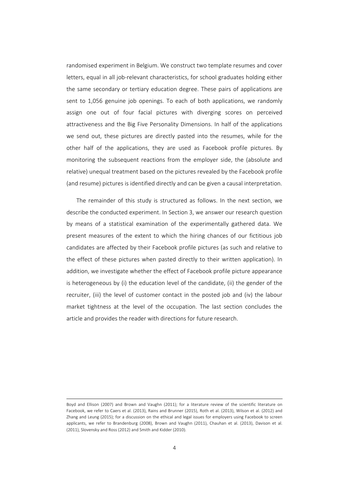randomised experiment in Belgium. We construct two template resumes and cover letters, equal in all job-relevant characteristics, for school graduates holding either the same secondary or tertiary education degree. These pairs of applications are sent to 1,056 genuine job openings. To each of both applications, we randomly assign one out of four facial pictures with diverging scores on perceived attractiveness and the Big Five Personality Dimensions. In half of the applications we send out, these pictures are directly pasted into the resumes, while for the other half of the applications, they are used as Facebook profile pictures. By monitoring the subsequent reactions from the employer side, the (absolute and relative) unequal treatment based on the pictures revealed by the Facebook profile (and resume) pictures is identified directly and can be given a causal interpretation.

The remainder of this study is structured as follows. In the next section, we describe the conducted experiment. In Section 3, we answer our research question by means of a statistical examination of the experimentally gathered data. We present measures of the extent to which the hiring chances of our fictitious job candidates are affected by their Facebook profile pictures (as such and relative to the effect of these pictures when pasted directly to their written application). In addition, we investigate whether the effect of Facebook profile picture appearance is heterogeneous by (i) the education level of the candidate, (ii) the gender of the recruiter, (iii) the level of customer contact in the posted job and (iv) the labour market tightness at the level of the occupation. The last section concludes the article and provides the reader with directions for future research.

Boyd and Ellison (2007) and Brown and Vaughn (2011); for a literature review of the scientific literature on Facebook, we refer to Caers et al. (2013), Rains and Brunner (2015), Roth et al. (2013), Wilson et al. (2012) and Zhang and Leung (2015); for a discussion on the ethical and legal issues for employers using Facebook to screen applicants, we refer to Brandenburg (2008), Brown and Vaughn (2011), Chauhan et al. (2013), Davison et al. (2011), Slovensky and Ross (2012) and Smith and Kidder (2010).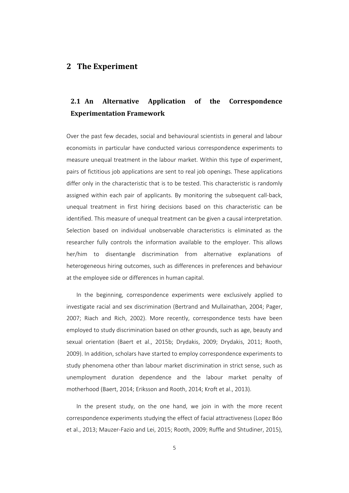### **2 The Experiment**

# **2.1 An Alternative Application of the Correspondence Experimentation Framework**

Over the past few decades, social and behavioural scientists in general and labour economists in particular have conducted various correspondence experiments to measure unequal treatment in the labour market. Within this type of experiment, pairs of fictitious job applications are sent to real job openings. These applications differ only in the characteristic that is to be tested. This characteristic is randomly assigned within each pair of applicants. By monitoring the subsequent call‐back, unequal treatment in first hiring decisions based on this characteristic can be identified. This measure of unequal treatment can be given a causal interpretation. Selection based on individual unobservable characteristics is eliminated as the researcher fully controls the information available to the employer. This allows her/him to disentangle discrimination from alternative explanations of heterogeneous hiring outcomes, such as differences in preferences and behaviour at the employee side or differences in human capital.

In the beginning, correspondence experiments were exclusively applied to investigate racial and sex discrimination (Bertrand and Mullainathan, 2004; Pager, 2007; Riach and Rich, 2002). More recently, correspondence tests have been employed to study discrimination based on other grounds, such as age, beauty and sexual orientation (Baert et al., 2015b; Drydakis, 2009; Drydakis, 2011; Rooth, 2009). In addition, scholars have started to employ correspondence experiments to study phenomena other than labour market discrimination in strict sense, such as unemployment duration dependence and the labour market penalty of motherhood (Baert, 2014; Eriksson and Rooth, 2014; Kroft et al., 2013).

In the present study, on the one hand, we join in with the more recent correspondence experiments studying the effect of facial attractiveness (Lopez Bóo et al., 2013; Mauzer‐Fazio and Lei, 2015; Rooth, 2009; Ruffle and Shtudiner, 2015),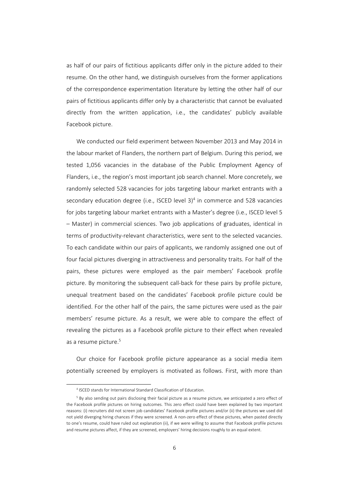as half of our pairs of fictitious applicants differ only in the picture added to their resume. On the other hand, we distinguish ourselves from the former applications of the correspondence experimentation literature by letting the other half of our pairs of fictitious applicants differ only by a characteristic that cannot be evaluated directly from the written application, i.e., the candidates' publicly available Facebook picture.

We conducted our field experiment between November 2013 and May 2014 in the labour market of Flanders, the northern part of Belgium. During this period, we tested 1,056 vacancies in the database of the Public Employment Agency of Flanders, i.e., the region's most important job search channel. More concretely, we randomly selected 528 vacancies for jobs targeting labour market entrants with a secondary education degree (i.e., ISCED level  $3$ <sup>4</sup> in commerce and 528 vacancies for jobs targeting labour market entrants with a Master's degree (i.e., ISCED level 5 – Master) in commercial sciences. Two job applications of graduates, identical in terms of productivity-relevant characteristics, were sent to the selected vacancies. To each candidate within our pairs of applicants, we randomly assigned one out of four facial pictures diverging in attractiveness and personality traits. For half of the pairs, these pictures were employed as the pair members' Facebook profile picture. By monitoring the subsequent call-back for these pairs by profile picture, unequal treatment based on the candidates' Facebook profile picture could be identified. For the other half of the pairs, the same pictures were used as the pair members' resume picture. As a result, we were able to compare the effect of revealing the pictures as a Facebook profile picture to their effect when revealed as a resume picture.<sup>5</sup>

Our choice for Facebook profile picture appearance as a social media item potentially screened by employers is motivated as follows. First, with more than

<sup>4</sup> ISCED stands for International Standard Classification of Education.

<sup>5</sup> By also sending out pairs disclosing their facial picture as a resume picture, we anticipated a zero effect of the Facebook profile pictures on hiring outcomes. This zero effect could have been explained by two important reasons: (i) recruiters did not screen job candidates' Facebook profile pictures and/or (ii) the pictures we used did not yield diverging hiring chances if they were screened. A non‐zero effect of these pictures, when pasted directly to one's resume, could have ruled out explanation (ii), if we were willing to assume that Facebook profile pictures and resume pictures affect, if they are screened, employers' hiring decisions roughly to an equal extent.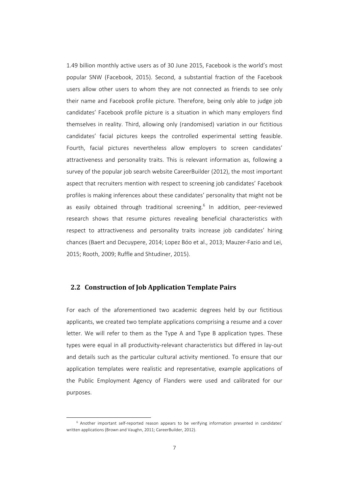1.49 billion monthly active users as of 30 June 2015, Facebook is the world's most popular SNW (Facebook, 2015). Second, a substantial fraction of the Facebook users allow other users to whom they are not connected as friends to see only their name and Facebook profile picture. Therefore, being only able to judge job candidates' Facebook profile picture is a situation in which many employers find themselves in reality. Third, allowing only (randomised) variation in our fictitious candidates' facial pictures keeps the controlled experimental setting feasible. Fourth, facial pictures nevertheless allow employers to screen candidates' attractiveness and personality traits. This is relevant information as, following a survey of the popular job search website CareerBuilder (2012), the most important aspect that recruiters mention with respect to screening job candidates' Facebook profiles is making inferences about these candidates' personality that might not be as easily obtained through traditional screening.<sup>6</sup> In addition, peer-reviewed research shows that resume pictures revealing beneficial characteristics with respect to attractiveness and personality traits increase job candidates' hiring chances (Baert and Decuypere, 2014; Lopez Bóo et al., 2013; Mauzer‐Fazio and Lei, 2015; Rooth, 2009; Ruffle and Shtudiner, 2015).

### **2.2 Construction of Job Application Template Pairs**

For each of the aforementioned two academic degrees held by our fictitious applicants, we created two template applications comprising a resume and a cover letter. We will refer to them as the Type A and Type B application types. These types were equal in all productivity‐relevant characteristics but differed in lay‐out and details such as the particular cultural activity mentioned. To ensure that our application templates were realistic and representative, example applications of the Public Employment Agency of Flanders were used and calibrated for our purposes.

<sup>&</sup>lt;sup>6</sup> Another important self-reported reason appears to be verifying information presented in candidates' written applications (Brown and Vaughn, 2011; CareerBuilder, 2012).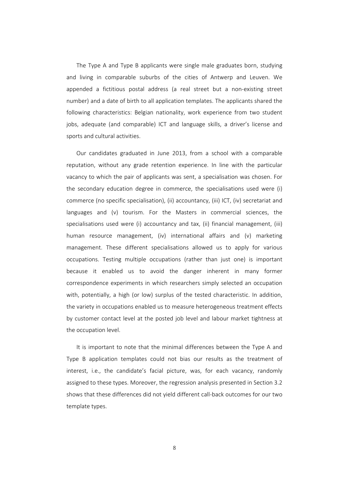The Type A and Type B applicants were single male graduates born, studying and living in comparable suburbs of the cities of Antwerp and Leuven. We appended a fictitious postal address (a real street but a non‐existing street number) and a date of birth to all application templates. The applicants shared the following characteristics: Belgian nationality, work experience from two student jobs, adequate (and comparable) ICT and language skills, a driver's license and sports and cultural activities.

Our candidates graduated in June 2013, from a school with a comparable reputation, without any grade retention experience. In line with the particular vacancy to which the pair of applicants was sent, a specialisation was chosen. For the secondary education degree in commerce, the specialisations used were (i) commerce (no specific specialisation), (ii) accountancy, (iii) ICT, (iv) secretariat and languages and (v) tourism. For the Masters in commercial sciences, the specialisations used were (i) accountancy and tax, (ii) financial management, (iii) human resource management, (iv) international affairs and (v) marketing management. These different specialisations allowed us to apply for various occupations. Testing multiple occupations (rather than just one) is important because it enabled us to avoid the danger inherent in many former correspondence experiments in which researchers simply selected an occupation with, potentially, a high (or low) surplus of the tested characteristic. In addition, the variety in occupations enabled us to measure heterogeneous treatment effects by customer contact level at the posted job level and labour market tightness at the occupation level.

It is important to note that the minimal differences between the Type A and Type B application templates could not bias our results as the treatment of interest, i.e., the candidate's facial picture, was, for each vacancy, randomly assigned to these types. Moreover, the regression analysis presented in Section 3.2 shows that these differences did not yield different call‐back outcomes for our two template types.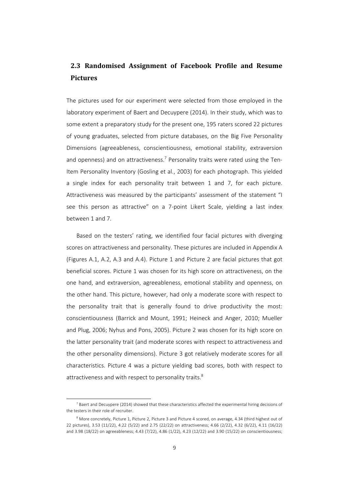# **2.3 Randomised Assignment of Facebook Profile and Resume Pictures**

The pictures used for our experiment were selected from those employed in the laboratory experiment of Baert and Decuypere (2014). In their study, which was to some extent a preparatory study for the present one, 195 raters scored 22 pictures of young graduates, selected from picture databases, on the Big Five Personality Dimensions (agreeableness, conscientiousness, emotional stability, extraversion and openness) and on attractiveness.<sup>7</sup> Personality traits were rated using the Ten-Item Personality Inventory (Gosling et al., 2003) for each photograph. This yielded a single index for each personality trait between 1 and 7, for each picture. Attractiveness was measured by the participants' assessment of the statement "I see this person as attractive" on a 7‐point Likert Scale, yielding a last index between 1 and 7.

Based on the testers' rating, we identified four facial pictures with diverging scores on attractiveness and personality. These pictures are included in Appendix A (Figures A.1, A.2, A.3 and A.4). Picture 1 and Picture 2 are facial pictures that got beneficial scores. Picture 1 was chosen for its high score on attractiveness, on the one hand, and extraversion, agreeableness, emotional stability and openness, on the other hand. This picture, however, had only a moderate score with respect to the personality trait that is generally found to drive productivity the most: conscientiousness (Barrick and Mount, 1991; Heineck and Anger, 2010; Mueller and Plug, 2006; Nyhus and Pons, 2005). Picture 2 was chosen for its high score on the latter personality trait (and moderate scores with respect to attractiveness and the other personality dimensions). Picture 3 got relatively moderate scores for all characteristics. Picture 4 was a picture yielding bad scores, both with respect to attractiveness and with respect to personality traits.<sup>8</sup>

 $^7$  Baert and Decuypere (2014) showed that these characteristics affected the experimental hiring decisions of the testers in their role of recruiter.

<sup>8</sup> More concretely, Picture 1, Picture 2, Picture 3 and Picture 4 scored, on average, 4.34 (third highest out of 22 pictures), 3.53 (11/22), 4.22 (5/22) and 2.75 (22/22) on attractiveness; 4.66 (2/22), 4.32 (6/22), 4.11 (16/22) and 3.98 (18/22) on agreeableness; 4.43 (7/22), 4.86 (1/22), 4.23 (12/22) and 3.90 (15/22) on conscientiousness;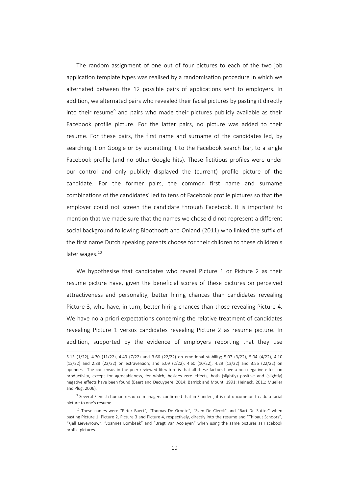The random assignment of one out of four pictures to each of the two job application template types was realised by a randomisation procedure in which we alternated between the 12 possible pairs of applications sent to employers. In addition, we alternated pairs who revealed their facial pictures by pasting it directly into their resume<sup>9</sup> and pairs who made their pictures publicly available as their Facebook profile picture. For the latter pairs, no picture was added to their resume. For these pairs, the first name and surname of the candidates led, by searching it on Google or by submitting it to the Facebook search bar, to a single Facebook profile (and no other Google hits). These fictitious profiles were under our control and only publicly displayed the (current) profile picture of the candidate. For the former pairs, the common first name and surname combinations of the candidates' led to tens of Facebook profile pictures so that the employer could not screen the candidate through Facebook. It is important to mention that we made sure that the names we chose did not represent a different social background following Bloothooft and Onland (2011) who linked the suffix of the first name Dutch speaking parents choose for their children to these children's later wages.<sup>10</sup>

We hypothesise that candidates who reveal Picture 1 or Picture 2 as their resume picture have, given the beneficial scores of these pictures on perceived attractiveness and personality, better hiring chances than candidates revealing Picture 3, who have, in turn, better hiring chances than those revealing Picture 4. We have no a priori expectations concerning the relative treatment of candidates revealing Picture 1 versus candidates revealing Picture 2 as resume picture. In addition, supported by the evidence of employers reporting that they use

<sup>5.13</sup> (1/22), 4.30 (11/22), 4.49 (7/22) and 3.66 (22/22) on emotional stability; 5.07 (3/22), 5.04 (4/22), 4.10 (13/22) and 2.88 (22/22) on extraversion; and 5.09 (2/22), 4.60 (10/22), 4.29 (13/22) and 3.55 (22/22) on openness. The consensus in the peer‐reviewed literature is that all these factors have a non‐negative effect on productivity, except for agreeableness, for which, besides zero effects, both (slightly) positive and (slightly) negative effects have been found (Baert and Decuypere, 2014; Barrick and Mount, 1991; Heineck, 2011; Mueller and Plug, 2006).

<sup>9</sup> Several Flemish human resource managers confirmed that in Flanders, it is not uncommon to add a facial picture to one's resume.

<sup>&</sup>lt;sup>10</sup> These names were "Peter Baert", "Thomas De Groote", "Sven De Clerck" and "Bart De Sutter" when pasting Picture 1, Picture 2, Picture 3 and Picture 4, respectively, directly into the resume and "Thibaut Schoors", "Kjell Lievevrouw", "Joannes Bombeek" and "Bregt Van Acoleyen" when using the same pictures as Facebook profile pictures.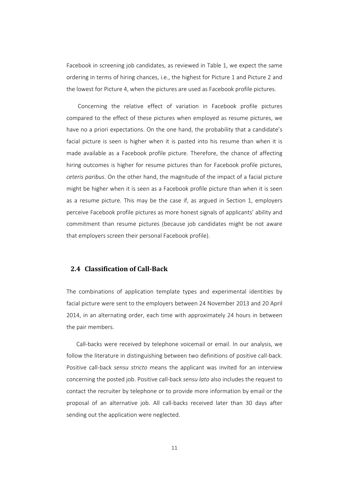Facebook in screening job candidates, as reviewed in Table 1, we expect the same ordering in terms of hiring chances, i.e., the highest for Picture 1 and Picture 2 and the lowest for Picture 4, when the pictures are used as Facebook profile pictures.

Concerning the relative effect of variation in Facebook profile pictures compared to the effect of these pictures when employed as resume pictures, we have no a priori expectations. On the one hand, the probability that a candidate's facial picture is seen is higher when it is pasted into his resume than when it is made available as a Facebook profile picture. Therefore, the chance of affecting hiring outcomes is higher for resume pictures than for Facebook profile pictures, *ceteris paribus*. On the other hand, the magnitude of the impact of a facial picture might be higher when it is seen as a Facebook profile picture than when it is seen as a resume picture. This may be the case if, as argued in Section 1, employers perceive Facebook profile pictures as more honest signals of applicants' ability and commitment than resume pictures (because job candidates might be not aware that employers screen their personal Facebook profile).

### **2.4 Classification of Call‐Back**

The combinations of application template types and experimental identities by facial picture were sent to the employers between 24 November 2013 and 20 April 2014, in an alternating order, each time with approximately 24 hours in between the pair members.

Call-backs were received by telephone voicemail or email. In our analysis, we follow the literature in distinguishing between two definitions of positive call-back. Positive call‐back *sensu stricto* means the applicant was invited for an interview concerning the posted job. Positive call‐back *sensu lato* also includes the request to contact the recruiter by telephone or to provide more information by email or the proposal of an alternative job. All call‐backs received later than 30 days after sending out the application were neglected.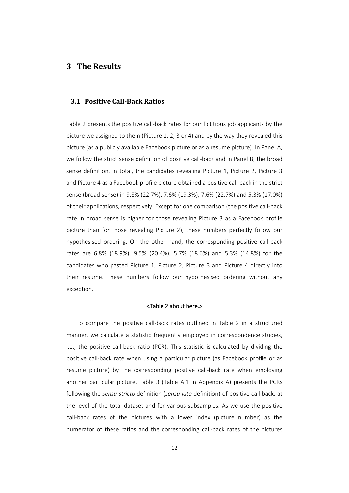### **3 The Results**

### **3.1 Positive Call‐Back Ratios**

Table 2 presents the positive call‐back rates for our fictitious job applicants by the picture we assigned to them (Picture 1, 2, 3 or 4) and by the way they revealed this picture (as a publicly available Facebook picture or as a resume picture). In Panel A, we follow the strict sense definition of positive call-back and in Panel B, the broad sense definition. In total, the candidates revealing Picture 1, Picture 2, Picture 3 and Picture 4 as a Facebook profile picture obtained a positive call-back in the strict sense (broad sense) in 9.8% (22.7%), 7.6% (19.3%), 7.6% (22.7%) and 5.3% (17.0%) of their applications, respectively. Except for one comparison (the positive call‐back rate in broad sense is higher for those revealing Picture 3 as a Facebook profile picture than for those revealing Picture 2), these numbers perfectly follow our hypothesised ordering. On the other hand, the corresponding positive call-back rates are 6.8% (18.9%), 9.5% (20.4%), 5.7% (18.6%) and 5.3% (14.8%) for the candidates who pasted Picture 1, Picture 2, Picture 3 and Picture 4 directly into their resume. These numbers follow our hypothesised ordering without any exception.

#### <Table 2 about here.>

To compare the positive call‐back rates outlined in Table 2 in a structured manner, we calculate a statistic frequently employed in correspondence studies, i.e., the positive call‐back ratio (PCR). This statistic is calculated by dividing the positive call‐back rate when using a particular picture (as Facebook profile or as resume picture) by the corresponding positive call-back rate when employing another particular picture. Table 3 (Table A.1 in Appendix A) presents the PCRs following the *sensu stricto* definition (*sensu lato* definition) of positive call‐back, at the level of the total dataset and for various subsamples. As we use the positive call-back rates of the pictures with a lower index (picture number) as the numerator of these ratios and the corresponding call‐back rates of the pictures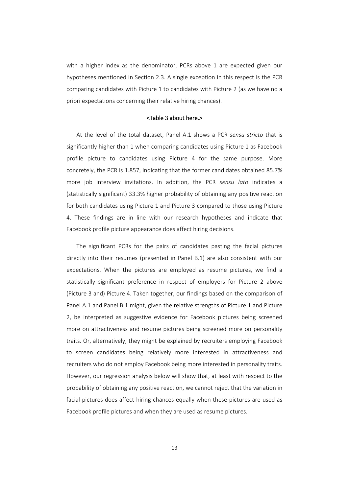with a higher index as the denominator, PCRs above 1 are expected given our hypotheses mentioned in Section 2.3. A single exception in this respect is the PCR comparing candidates with Picture 1 to candidates with Picture 2 (as we have no a priori expectations concerning their relative hiring chances).

#### <Table 3 about here.>

At the level of the total dataset, Panel A.1 shows a PCR *sensu stricto* that is significantly higher than 1 when comparing candidates using Picture 1 as Facebook profile picture to candidates using Picture 4 for the same purpose. More concretely, the PCR is 1.857, indicating that the former candidates obtained 85.7% more job interview invitations. In addition, the PCR *sensu lato* indicates a (statistically significant) 33.3% higher probability of obtaining any positive reaction for both candidates using Picture 1 and Picture 3 compared to those using Picture 4. These findings are in line with our research hypotheses and indicate that Facebook profile picture appearance does affect hiring decisions.

The significant PCRs for the pairs of candidates pasting the facial pictures directly into their resumes (presented in Panel B.1) are also consistent with our expectations. When the pictures are employed as resume pictures, we find a statistically significant preference in respect of employers for Picture 2 above (Picture 3 and) Picture 4. Taken together, our findings based on the comparison of Panel A.1 and Panel B.1 might, given the relative strengths of Picture 1 and Picture 2, be interpreted as suggestive evidence for Facebook pictures being screened more on attractiveness and resume pictures being screened more on personality traits. Or, alternatively, they might be explained by recruiters employing Facebook to screen candidates being relatively more interested in attractiveness and recruiters who do not employ Facebook being more interested in personality traits. However, our regression analysis below will show that, at least with respect to the probability of obtaining any positive reaction, we cannot reject that the variation in facial pictures does affect hiring chances equally when these pictures are used as Facebook profile pictures and when they are used as resume pictures.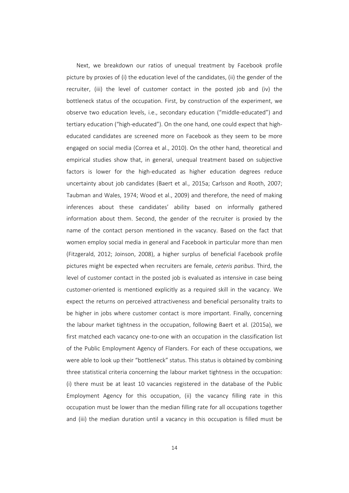Next, we breakdown our ratios of unequal treatment by Facebook profile picture by proxies of (i) the education level of the candidates, (ii) the gender of the recruiter, (iii) the level of customer contact in the posted job and (iv) the bottleneck status of the occupation. First, by construction of the experiment, we observe two education levels, i.e., secondary education ("middle‐educated") and tertiary education ("high-educated"). On the one hand, one could expect that higheducated candidates are screened more on Facebook as they seem to be more engaged on social media (Correa et al., 2010). On the other hand, theoretical and empirical studies show that, in general, unequal treatment based on subjective factors is lower for the high-educated as higher education degrees reduce uncertainty about job candidates (Baert et al., 2015a; Carlsson and Rooth, 2007; Taubman and Wales, 1974; Wood et al., 2009) and therefore, the need of making inferences about these candidates' ability based on informally gathered information about them. Second, the gender of the recruiter is proxied by the name of the contact person mentioned in the vacancy. Based on the fact that women employ social media in general and Facebook in particular more than men (Fitzgerald, 2012; Joinson, 2008), a higher surplus of beneficial Facebook profile pictures might be expected when recruiters are female, *ceteris paribus*. Third, the level of customer contact in the posted job is evaluated as intensive in case being customer‐oriented is mentioned explicitly as a required skill in the vacancy. We expect the returns on perceived attractiveness and beneficial personality traits to be higher in jobs where customer contact is more important. Finally, concerning the labour market tightness in the occupation, following Baert et al. (2015a), we first matched each vacancy one-to-one with an occupation in the classification list of the Public Employment Agency of Flanders. For each of these occupations, we were able to look up their "bottleneck" status. This status is obtained by combining three statistical criteria concerning the labour market tightness in the occupation: (i) there must be at least 10 vacancies registered in the database of the Public Employment Agency for this occupation, (ii) the vacancy filling rate in this occupation must be lower than the median filling rate for all occupations together and (iii) the median duration until a vacancy in this occupation is filled must be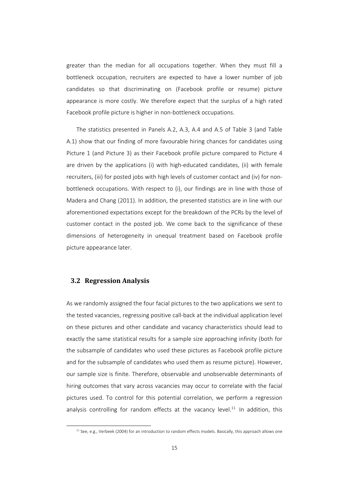greater than the median for all occupations together. When they must fill a bottleneck occupation, recruiters are expected to have a lower number of job candidates so that discriminating on (Facebook profile or resume) picture appearance is more costly. We therefore expect that the surplus of a high rated Facebook profile picture is higher in non‐bottleneck occupations.

The statistics presented in Panels A.2, A.3, A.4 and A.5 of Table 3 (and Table A.1) show that our finding of more favourable hiring chances for candidates using Picture 1 (and Picture 3) as their Facebook profile picture compared to Picture 4 are driven by the applications (i) with high-educated candidates, (ii) with female recruiters, (iii) for posted jobs with high levels of customer contact and (iv) for non‐ bottleneck occupations. With respect to (i), our findings are in line with those of Madera and Chang (2011). In addition, the presented statistics are in line with our aforementioned expectations except for the breakdown of the PCRs by the level of customer contact in the posted job. We come back to the significance of these dimensions of heterogeneity in unequal treatment based on Facebook profile picture appearance later.

### **3.2 Regression Analysis**

l

As we randomly assigned the four facial pictures to the two applications we sent to the tested vacancies, regressing positive call‐back at the individual application level on these pictures and other candidate and vacancy characteristics should lead to exactly the same statistical results for a sample size approaching infinity (both for the subsample of candidates who used these pictures as Facebook profile picture and for the subsample of candidates who used them as resume picture). However, our sample size is finite. Therefore, observable and unobservable determinants of hiring outcomes that vary across vacancies may occur to correlate with the facial pictures used. To control for this potential correlation, we perform a regression analysis controlling for random effects at the vacancy level.<sup>11</sup> In addition, this

 $11$  See, e.g., Verbeek (2004) for an introduction to random effects models. Basically, this approach allows one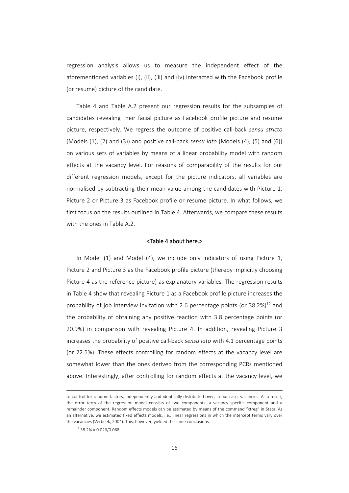regression analysis allows us to measure the independent effect of the aforementioned variables (i), (ii), (iii) and (iv) interacted with the Facebook profile (or resume) picture of the candidate.

Table 4 and Table A.2 present our regression results for the subsamples of candidates revealing their facial picture as Facebook profile picture and resume picture, respectively. We regress the outcome of positive call‐back *sensu stricto* (Models (1), (2) and (3)) and positive call‐back *sensu lato* (Models (4), (5) and (6)) on various sets of variables by means of a linear probability model with random effects at the vacancy level. For reasons of comparability of the results for our different regression models, except for the picture indicators, all variables are normalised by subtracting their mean value among the candidates with Picture 1, Picture 2 or Picture 3 as Facebook profile or resume picture. In what follows, we first focus on the results outlined in Table 4. Afterwards, we compare these results with the ones in Table A.2.

#### <Table 4 about here.>

In Model (1) and Model (4), we include only indicators of using Picture 1, Picture 2 and Picture 3 as the Facebook profile picture (thereby implicitly choosing Picture 4 as the reference picture) as explanatory variables. The regression results in Table 4 show that revealing Picture 1 as a Facebook profile picture increases the probability of job interview invitation with 2.6 percentage points (or  $38.2\%$ )<sup>12</sup> and the probability of obtaining any positive reaction with 3.8 percentage points (or 20.9%) in comparison with revealing Picture 4. In addition, revealing Picture 3 increases the probability of positive call‐back *sensu lato* with 4.1 percentage points (or 22.5%). These effects controlling for random effects at the vacancy level are somewhat lower than the ones derived from the corresponding PCRs mentioned above. Interestingly, after controlling for random effects at the vacancy level, we

to control for random factors, independently and identically distributed over, in our case, vacancies. As a result, the error term of the regression model consists of two components: a vacancy specific component and a remainder component. Random effects models can be estimated by means of the command "xtreg" in Stata. As an alternative, we estimated fixed effects models, i.e., linear regressions in which the intercept terms vary over the vacancies (Verbeek, 2004). This, however, yielded the same conclusions.

 $12$  38.2% = 0.026/0.068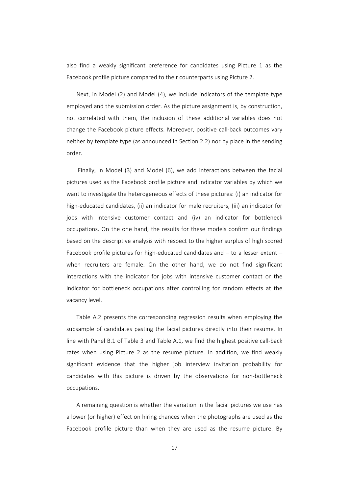also find a weakly significant preference for candidates using Picture 1 as the Facebook profile picture compared to their counterparts using Picture 2.

Next, in Model (2) and Model (4), we include indicators of the template type employed and the submission order. As the picture assignment is, by construction, not correlated with them, the inclusion of these additional variables does not change the Facebook picture effects. Moreover, positive call‐back outcomes vary neither by template type (as announced in Section 2.2) nor by place in the sending order.

Finally, in Model (3) and Model (6), we add interactions between the facial pictures used as the Facebook profile picture and indicator variables by which we want to investigate the heterogeneous effects of these pictures: (i) an indicator for high-educated candidates, (ii) an indicator for male recruiters, (iii) an indicator for jobs with intensive customer contact and (iv) an indicator for bottleneck occupations. On the one hand, the results for these models confirm our findings based on the descriptive analysis with respect to the higher surplus of high scored Facebook profile pictures for high-educated candidates and – to a lesser extent – when recruiters are female. On the other hand, we do not find significant interactions with the indicator for jobs with intensive customer contact or the indicator for bottleneck occupations after controlling for random effects at the vacancy level.

Table A.2 presents the corresponding regression results when employing the subsample of candidates pasting the facial pictures directly into their resume. In line with Panel B.1 of Table 3 and Table A.1, we find the highest positive call‐back rates when using Picture 2 as the resume picture. In addition, we find weakly significant evidence that the higher job interview invitation probability for candidates with this picture is driven by the observations for non‐bottleneck occupations.

A remaining question is whether the variation in the facial pictures we use has a lower (or higher) effect on hiring chances when the photographs are used as the Facebook profile picture than when they are used as the resume picture. By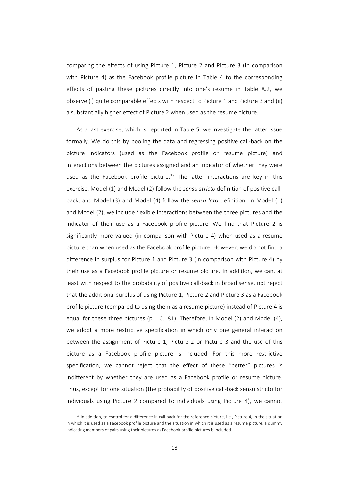comparing the effects of using Picture 1, Picture 2 and Picture 3 (in comparison with Picture 4) as the Facebook profile picture in Table 4 to the corresponding effects of pasting these pictures directly into one's resume in Table A.2, we observe (i) quite comparable effects with respect to Picture 1 and Picture 3 and (ii) a substantially higher effect of Picture 2 when used as the resume picture.

As a last exercise, which is reported in Table 5, we investigate the latter issue formally. We do this by pooling the data and regressing positive call-back on the picture indicators (used as the Facebook profile or resume picture) and interactions between the pictures assigned and an indicator of whether they were used as the Facebook profile picture.<sup>13</sup> The latter interactions are key in this exercise. Model (1) and Model (2) follow the *sensu stricto* definition of positive call‐ back, and Model (3) and Model (4) follow the *sensu lato* definition. In Model (1) and Model (2), we include flexible interactions between the three pictures and the indicator of their use as a Facebook profile picture. We find that Picture 2 is significantly more valued (in comparison with Picture 4) when used as a resume picture than when used as the Facebook profile picture. However, we do not find a difference in surplus for Picture 1 and Picture 3 (in comparison with Picture 4) by their use as a Facebook profile picture or resume picture. In addition, we can, at least with respect to the probability of positive call-back in broad sense, not reject that the additional surplus of using Picture 1, Picture 2 and Picture 3 as a Facebook profile picture (compared to using them as a resume picture) instead of Picture 4 is equal for these three pictures ( $p = 0.181$ ). Therefore, in Model (2) and Model (4), we adopt a more restrictive specification in which only one general interaction between the assignment of Picture 1, Picture 2 or Picture 3 and the use of this picture as a Facebook profile picture is included. For this more restrictive specification, we cannot reject that the effect of these "better" pictures is indifferent by whether they are used as a Facebook profile or resume picture. Thus, except for one situation (the probability of positive call‐back sensu stricto for individuals using Picture 2 compared to individuals using Picture 4), we cannot

 $13$  In addition, to control for a difference in call-back for the reference picture, i.e., Picture 4, in the situation in which it is used as a Facebook profile picture and the situation in which it is used as a resume picture, a dummy indicating members of pairs using their pictures as Facebook profile pictures is included.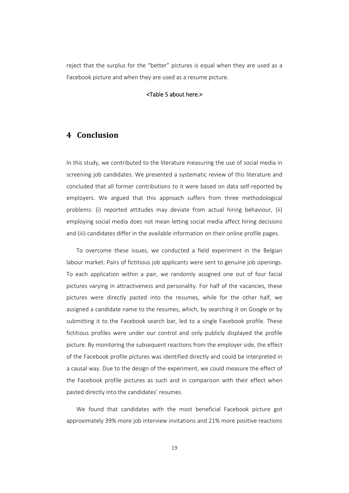reject that the surplus for the "better" pictures is equal when they are used as a Facebook picture and when they are used as a resume picture.

#### <Table 5 about here.>

# **4 Conclusion**

In this study, we contributed to the literature measuring the use of social media in screening job candidates. We presented a systematic review of this literature and concluded that all former contributions to it were based on data self‐reported by employers. We argued that this approach suffers from three methodological problems: (i) reported attitudes may deviate from actual hiring behaviour, (ii) employing social media does not mean letting social media affect hiring decisions and (iii) candidates differ in the available information on their online profile pages.

To overcome these issues, we conducted a field experiment in the Belgian labour market. Pairs of fictitious job applicants were sent to genuine job openings. To each application within a pair, we randomly assigned one out of four facial pictures varying in attractiveness and personality. For half of the vacancies, these pictures were directly pasted into the resumes, while for the other half, we assigned a candidate name to the resumes, which, by searching it on Google or by submitting it to the Facebook search bar, led to a single Facebook profile. These fictitious profiles were under our control and only publicly displayed the profile picture. By monitoring the subsequent reactions from the employer side, the effect of the Facebook profile pictures was identified directly and could be interpreted in a causal way. Due to the design of the experiment, we could measure the effect of the Facebook profile pictures as such and in comparison with their effect when pasted directly into the candidates' resumes.

We found that candidates with the most beneficial Facebook picture got approximately 39% more job interview invitations and 21% more positive reactions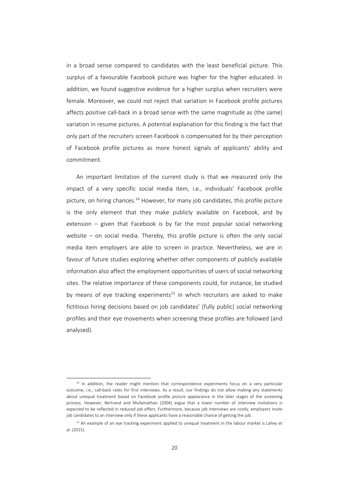in a broad sense compared to candidates with the least beneficial picture. This surplus of a favourable Facebook picture was higher for the higher educated. In addition, we found suggestive evidence for a higher surplus when recruiters were female. Moreover, we could not reject that variation in Facebook profile pictures affects positive call‐back in a broad sense with the same magnitude as (the same) variation in resume pictures. A potential explanation for this finding is the fact that only part of the recruiters screen Facebook is compensated for by their perception of Facebook profile pictures as more honest signals of applicants' ability and commitment.

An important limitation of the current study is that we measured only the impact of a very specific social media item, i.e., individuals' Facebook profile picture, on hiring chances.<sup>14</sup> However, for many job candidates, this profile picture is the only element that they make publicly available on Facebook, and by extension – given that Facebook is by far the most popular social networking website – on social media. Thereby, this profile picture is often the only social media item employers are able to screen in practice. Nevertheless, we are in favour of future studies exploring whether other components of publicly available information also affect the employment opportunities of users of social networking sites. The relative importance of these components could, for instance, be studied by means of eye tracking experiments<sup>15</sup> in which recruiters are asked to make fictitious hiring decisions based on job candidates' (fully public) social networking profiles and their eye movements when screening these profiles are followed (and analysed).

<sup>&</sup>lt;sup>14</sup> In addition, the reader might mention that correspondence experiments focus on a very particular outcome, i.e., call‐back rates for first interviews. As a result, our findings do not allow making any statements about unequal treatment based on Facebook profile picture appearance in the later stages of the screening process. However, Bertrand and Mullainathan (2004) argue that a lower number of interview invitations is expected to be reflected in reduced job offers. Furthermore, because job interviews are costly, employers invite job candidates to an interview only if these applicants have a reasonable chance of getting the job.

<sup>&</sup>lt;sup>15</sup> An example of an eye tracking experiment applied to unequal treatment in the labour market is Lahey et al. (2015).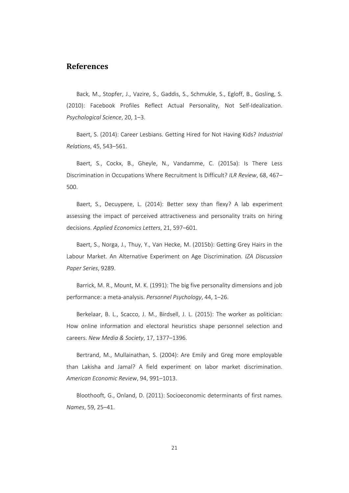### **References**

Back, M., Stopfer, J., Vazire, S., Gaddis, S., Schmukle, S., Egloff, B., Gosling, S. (2010): Facebook Profiles Reflect Actual Personality, Not Self‐Idealization. *Psychological Science*, 20, 1–3.

Baert, S. (2014): Career Lesbians. Getting Hired for Not Having Kids? *Industrial Relations*, 45, 543–561.

Baert, S., Cockx, B., Gheyle, N., Vandamme, C. (2015a): Is There Less Discrimination in Occupations Where Recruitment Is Difficult? *ILR Review*, 68, 467– 500.

Baert, S., Decuypere, L. (2014): Better sexy than flexy? A lab experiment assessing the impact of perceived attractiveness and personality traits on hiring decisions. *Applied Economics Letters*, 21, 597–601.

Baert, S., Norga, J., Thuy, Y., Van Hecke, M. (2015b): Getting Grey Hairs in the Labour Market. An Alternative Experiment on Age Discrimination. *IZA Discussion Paper Series*, 9289.

Barrick, M. R., Mount, M. K. (1991): The big five personality dimensions and job performance: a meta‐analysis. *Personnel Psychology*, 44, 1–26.

Berkelaar, B. L., Scacco, J. M., Birdsell, J. L. (2015): The worker as politician: How online information and electoral heuristics shape personnel selection and careers. *New Media & Society*, 17, 1377–1396.

Bertrand, M., Mullainathan, S. (2004): Are Emily and Greg more employable than Lakisha and Jamal? A field experiment on labor market discrimination. *American Economic Review*, 94, 991–1013.

Bloothooft, G., Onland, D. (2011): Socioeconomic determinants of first names. *Names*, 59, 25–41.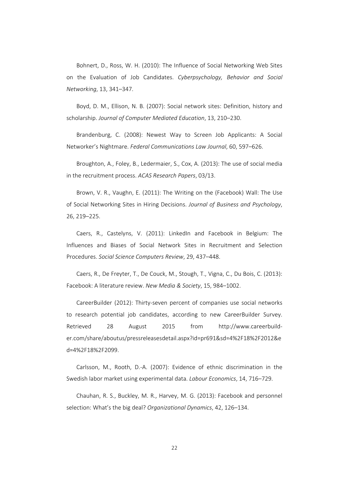Bohnert, D., Ross, W. H. (2010): The Influence of Social Networking Web Sites on the Evaluation of Job Candidates. *Cyberpsychology, Behavior and Social Networking*, 13, 341–347.

Boyd, D. M., Ellison, N. B. (2007): Social network sites: Definition, history and scholarship. *Journal of Computer Mediated Education*, 13, 210–230.

Brandenburg, C. (2008): Newest Way to Screen Job Applicants: A Social Networker's Nightmare. *Federal Communications Law Journal*, 60, 597–626.

Broughton, A., Foley, B., Ledermaier, S., Cox, A. (2013): The use of social media in the recruitment process. *ACAS Research Papers*, 03/13.

Brown, V. R., Vaughn, E. (2011): The Writing on the (Facebook) Wall: The Use of Social Networking Sites in Hiring Decisions. *Journal of Business and Psychology*, 26, 219–225.

Caers, R., Castelyns, V. (2011): LinkedIn and Facebook in Belgium: The Influences and Biases of Social Network Sites in Recruitment and Selection Procedures. *Social Science Computers Review*, 29, 437–448.

Caers, R., De Freyter, T., De Couck, M., Stough, T., Vigna, C., Du Bois, C. (2013): Facebook: A literature review. *New Media & Society*, 15, 984–1002.

CareerBuilder (2012): Thirty‐seven percent of companies use social networks to research potential job candidates, according to new CareerBuilder Survey. Retrieved 28 August 2015 from http://www.careerbuild‐ er.com/share/aboutus/pressreleasesdetail.aspx?id=pr691&sd=4%2F18%2F2012&e d=4%2F18%2F2099.

Carlsson, M., Rooth, D.‐A. (2007): Evidence of ethnic discrimination in the Swedish labor market using experimental data. *Labour Economics*, 14, 716–729.

Chauhan, R. S., Buckley, M. R., Harvey, M. G. (2013): Facebook and personnel selection: What's the big deal? *Organizational Dynamics*, 42, 126–134.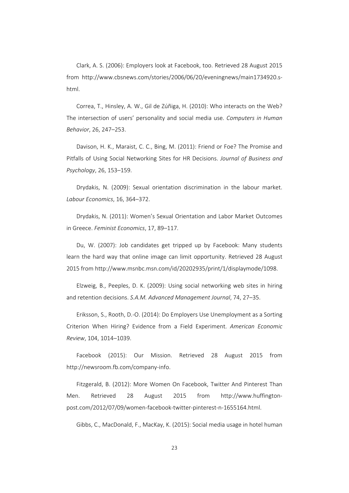Clark, A. S. (2006): Employers look at Facebook, too. Retrieved 28 August 2015 from http://www.cbsnews.com/stories/2006/06/20/eveningnews/main1734920.s‐ html.

Correa, T., Hinsley, A. W., Gil de Zúñiga, H. (2010): Who interacts on the Web? The intersection of users' personality and social media use. *Computers in Human Behavior*, 26, 247–253.

Davison, H. K., Maraist, C. C., Bing, M. (2011): Friend or Foe? The Promise and Pitfalls of Using Social Networking Sites for HR Decisions. *Journal of Business and Psychology*, 26, 153–159.

Drydakis, N. (2009): Sexual orientation discrimination in the labour market. *Labour Economics*, 16, 364–372.

Drydakis, N. (2011): Women's Sexual Orientation and Labor Market Outcomes in Greece. *Feminist Economics*, 17, 89–117.

Du, W. (2007): Job candidates get tripped up by Facebook: Many students learn the hard way that online image can limit opportunity. Retrieved 28 August 2015 from http://www.msnbc.msn.com/id/20202935/print/1/displaymode/1098.

Elzweig, B., Peeples, D. K. (2009): Using social networking web sites in hiring and retention decisions. *S.A.M. Advanced Management Journal*, 74, 27–35.

Eriksson, S., Rooth, D.‐O. (2014): Do Employers Use Unemployment as a Sorting Criterion When Hiring? Evidence from a Field Experiment. *American Economic Review*, 104, 1014–1039.

Facebook (2015): Our Mission. Retrieved 28 August 2015 from http://newsroom.fb.com/company‐info.

Fitzgerald, B. (2012): More Women On Facebook, Twitter And Pinterest Than Men. Retrieved 28 August 2015 from http://www.huffington‐ post.com/2012/07/09/women‐facebook‐twitter‐pinterest‐n‐1655164.html.

Gibbs, C., MacDonald, F., MacKay, K. (2015): Social media usage in hotel human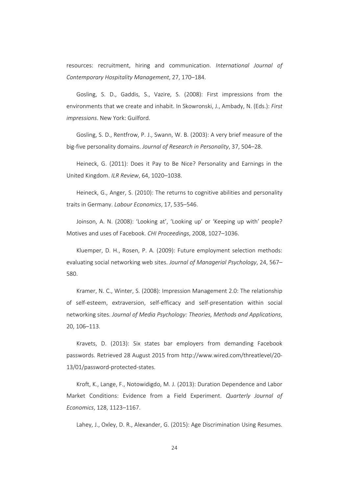resources: recruitment, hiring and communication. *International Journal of Contemporary Hospitality Management*, 27, 170–184.

Gosling, S. D., Gaddis, S., Vazire, S. (2008): First impressions from the environments that we create and inhabit. In Skowronski, J., Ambady, N. (Eds.): *First impressions*. New York: Guilford.

Gosling, S. D., Rentfrow, P. J., Swann, W. B. (2003): A very brief measure of the big‐five personality domains. *Journal of Research in Personality*, 37, 504–28.

Heineck, G. (2011): Does it Pay to Be Nice? Personality and Earnings in the United Kingdom. *ILR Review*, 64, 1020–1038.

Heineck, G., Anger, S. (2010): The returns to cognitive abilities and personality traits in Germany. *Labour Economics*, 17, 535–546.

Joinson, A. N. (2008): 'Looking at', 'Looking up' or 'Keeping up with' people? Motives and uses of Facebook. *CHI Proceedings*, 2008, 1027–1036.

Kluemper, D. H., Rosen, P. A. (2009): Future employment selection methods: evaluating social networking web sites. *Journal of Managerial Psychology*, 24, 567– 580.

Kramer, N. C., Winter, S. (2008): Impression Management 2.0: The relationship of self‐esteem, extraversion, self‐efficacy and self‐presentation within social networking sites. *Journal of Media Psychology: Theories, Methods and Applications*, 20, 106–113.

Kravets, D. (2013): Six states bar employers from demanding Facebook passwords. Retrieved 28 August 2015 from http://www.wired.com/threatlevel/20‐ 13/01/password‐protected‐states.

Kroft, K., Lange, F., Notowidigdo, M. J. (2013): Duration Dependence and Labor Market Conditions: Evidence from a Field Experiment. *Quarterly Journal of Economics*, 128, 1123–1167.

Lahey, J., Oxley, D. R., Alexander, G. (2015): Age Discrimination Using Resumes.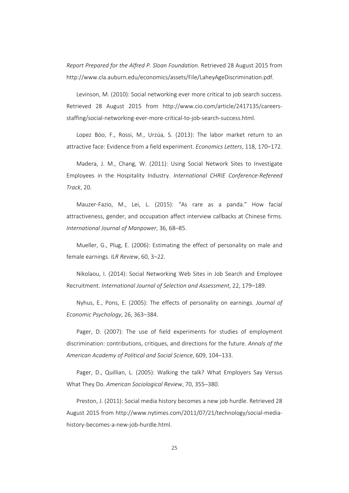*Report Prepared for the Alfred P. Sloan Foundation*. Retrieved 28 August 2015 from http://www.cla.auburn.edu/economics/assets/File/LaheyAgeDiscrimination.pdf.

Levinson, M. (2010): Social networking ever more critical to job search success. Retrieved 28 August 2015 from http://www.cio.com/article/2417135/careers‐ staffing/social‐networking‐ever‐more‐critical‐to‐job‐search‐success.html.

Lopez Bóo, F., Rossi, M., Urzúa, S. (2013): The labor market return to an attractive face: Evidence from a field experiment. *Economics Letters*, 118, 170–172.

Madera, J. M., Chang, W. (2011): Using Social Network Sites to Investigate Employees in the Hospitality Industry. *International CHRIE Conference‐Refereed Track*, 20.

Mauzer‐Fazio, M., Lei, L. (2015): "As rare as a panda." How facial attractiveness, gender, and occupation affect interview callbacks at Chinese firms. *International Journal of Manpower*, 36, 68–85.

Mueller, G., Plug, E. (2006): Estimating the effect of personality on male and female earnings. *ILR Review*, 60, 3–22.

Nikolaou, I. (2014): Social Networking Web Sites in Job Search and Employee Recruitment. *International Journal of Selection and Assessment*, 22, 179–189.

Nyhus, E., Pons, E. (2005): The effects of personality on earnings. *Journal of Economic Psychology*, 26, 363–384.

Pager, D. (2007): The use of field experiments for studies of employment discrimination: contributions, critiques, and directions for the future. *Annals of the American Academy of Political and Social Science*, 609, 104–133.

Pager, D., Quillian, L. (2005): Walking the talk? What Employers Say Versus What They Do. *American Sociological Review*, 70, 355–380.

Preston, J. (2011): Social media history becomes a new job hurdle. Retrieved 28 August 2015 from http://www.nytimes.com/2011/07/21/technology/social‐media‐ history‐becomes‐a‐new‐job‐hurdle.html.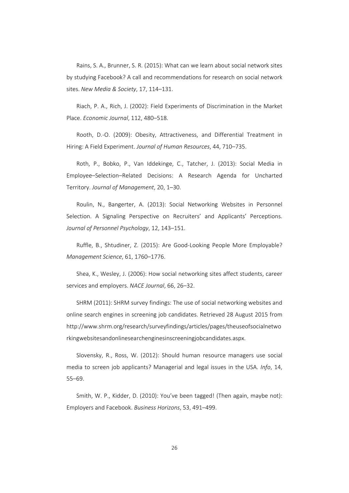Rains, S. A., Brunner, S. R. (2015): What can we learn about social network sites by studying Facebook? A call and recommendations for research on social network sites. *New Media & Society*, 17, 114–131.

Riach, P. A., Rich, J. (2002): Field Experiments of Discrimination in the Market Place. *Economic Journal*, 112, 480–518.

Rooth, D.‐O. (2009): Obesity, Attractiveness, and Differential Treatment in Hiring: A Field Experiment. *Journal of Human Resources*, 44, 710–735.

Roth, P., Bobko, P., Van Iddekinge, C., Tatcher, J. (2013): Social Media in Employee–Selection–Related Decisions: A Research Agenda for Uncharted Territory. *Journal of Management*, 20, 1–30.

Roulin, N., Bangerter, A. (2013): Social Networking Websites in Personnel Selection. A Signaling Perspective on Recruiters' and Applicants' Perceptions. *Journal of Personnel Psychology*, 12, 143–151.

Ruffle, B., Shtudiner, Z. (2015): Are Good‐Looking People More Employable? *Management Science*, 61, 1760–1776.

Shea, K., Wesley, J. (2006): How social networking sites affect students, career services and employers. *NACE Journal*, 66, 26–32.

SHRM (2011): SHRM survey findings: The use of social networking websites and online search engines in screening job candidates. Retrieved 28 August 2015 from http://www.shrm.org/research/surveyfindings/articles/pages/theuseofsocialnetwo rkingwebsitesandonlinesearchenginesinscreeningjobcandidates.aspx.

Slovensky, R., Ross, W. (2012): Should human resource managers use social media to screen job applicants? Managerial and legal issues in the USA. *Info*, 14, 55–69.

Smith, W. P., Kidder, D. (2010): You've been tagged! (Then again, maybe not): Employers and Facebook. *Business Horizons*, 53, 491–499.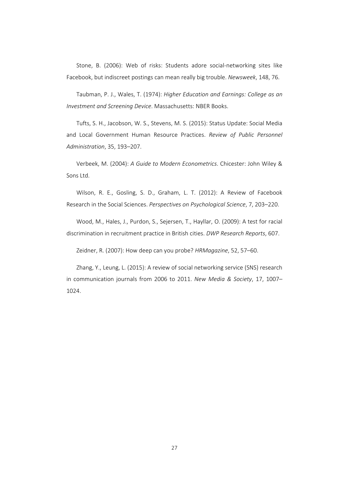Stone, B. (2006): Web of risks: Students adore social-networking sites like Facebook, but indiscreet postings can mean really big trouble. *Newsweek*, 148, 76.

Taubman, P. J., Wales, T. (1974): *Higher Education and Earnings: College as an Investment and Screening Device*. Massachusetts: NBER Books.

Tufts, S. H., Jacobson, W. S., Stevens, M. S. (2015): Status Update: Social Media and Local Government Human Resource Practices. *Review of Public Personnel Administration*, 35, 193–207.

Verbeek, M. (2004): *A Guide to Modern Econometrics*. Chicester: John Wiley & Sons Ltd.

Wilson, R. E., Gosling, S. D., Graham, L. T. (2012): A Review of Facebook Research in the Social Sciences. *Perspectives on Psychological Science*, 7, 203–220.

Wood, M., Hales, J., Purdon, S., Sejersen, T., Hayllar, O. (2009): A test for racial discrimination in recruitment practice in British cities. *DWP Research Reports*, 607.

Zeidner, R. (2007): How deep can you probe? *HRMagazine*, 52, 57–60.

Zhang, Y., Leung, L. (2015): A review of social networking service (SNS) research in communication journals from 2006 to 2011. *New Media & Society*, 17, 1007– 1024.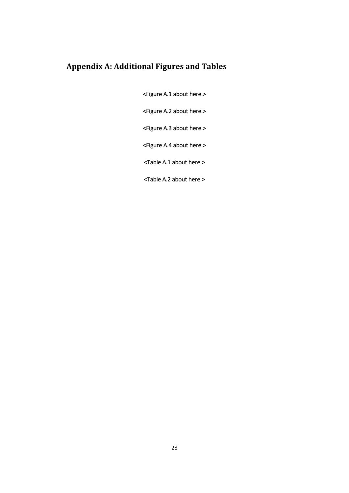# **Appendix A: Additional Figures and Tables**

<Figure A.1 about here.>

<Figure A.2 about here.>

<Figure A.3 about here.>

<Figure A.4 about here.>

<Table A.1 about here.>

<Table A.2 about here.>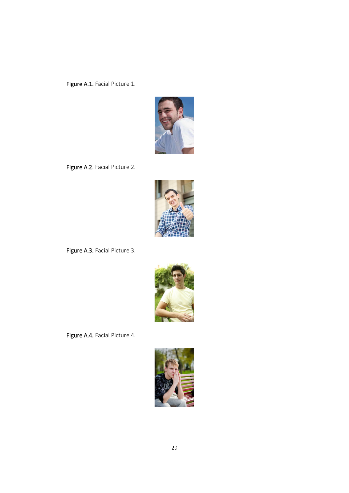Figure A.1. Facial Picture 1.



Figure A.2. Facial Picture 2.



Figure A.3. Facial Picture 3.



Figure A.4. Facial Picture 4.

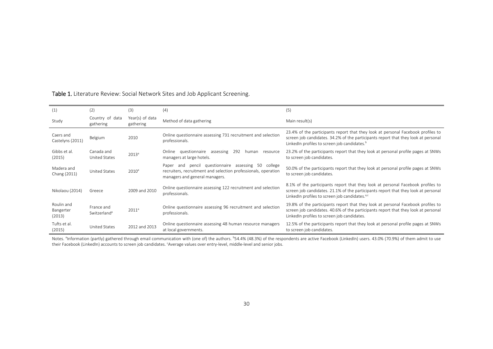| (1)                               | (2)                                    | (3)                          | (4)                                                                                                                                                        | (5)                                                                                                                                                                                                                                 |
|-----------------------------------|----------------------------------------|------------------------------|------------------------------------------------------------------------------------------------------------------------------------------------------------|-------------------------------------------------------------------------------------------------------------------------------------------------------------------------------------------------------------------------------------|
| Study                             | Country of data<br>gathering           | Year(s) of data<br>gathering | Method of data gathering                                                                                                                                   | Main result(s)                                                                                                                                                                                                                      |
| Caers and<br>Castelyns (2011)     | Belgium                                | 2010                         | Online questionnaire assessing 731 recruitment and selection<br>professionals.                                                                             | 23.4% of the participants report that they look at personal Facebook profiles to<br>screen job candidates. 34.2% of the participants report that they look at personal<br>Linked n profiles to screen job candidates. <sup>b</sup>  |
| Gibbs et al.<br>(2015)            | Canada and<br>United States            | 2013 <sup>a</sup>            | 292<br>Online questionnaire assessing<br>human<br>resource<br>managers at large hotels.                                                                    | 23.2% of the participants report that they look at personal profile pages at SNWs<br>to screen job candidates.                                                                                                                      |
| Madera and<br>Chang (2011)        | United States                          | 2010 <sup>a</sup>            | pencil questionnaire assessing 50 college<br>Paper and<br>recruiters, recruitment and selection professionals, operation<br>managers and general managers. | 50.0% of the participants report that they look at personal profile pages at SNWs<br>to screen job candidates.                                                                                                                      |
| Nikolaou (2014)                   | Greece                                 | 2009 and 2010                | Online questionnaire assessing 122 recruitment and selection<br>professionals.                                                                             | 8.1% of the participants report that they look at personal Facebook profiles to<br>screen job candidates. 21.1% of the participants report that they look at personal<br>LinkedIn profiles to screen job candidates. <sup>a,c</sup> |
| Roulin and<br>Bangerter<br>(2013) | France and<br>Switzerland <sup>a</sup> | 2011 <sup>a</sup>            | Online questionnaire assessing 96 recruitment and selection<br>professionals.                                                                              | 19.8% of the participants report that they look at personal Facebook profiles to<br>screen job candidates. 40.6% of the participants report that they look at personal<br>LinkedIn profiles to screen job candidates.               |
| Tufts et al.<br>(2015)            | <b>United States</b>                   | 2012 and 2013                | Online questionnaire assessing 48 human resource managers<br>at local governments.                                                                         | 12.5% of the participants report that they look at personal profile pages at SNWs<br>to screen job candidates.                                                                                                                      |

#### Table 1. Literature Review: Social Network Sites and Job Applicant Screening.

Notes. <sup>a</sup>Information (partly) gathered through email communication with (one of) the authors. b54.4% (48.3%) of the respondents are active Facebook (LinkedIn) users. 43.0% (70.9%) of them admit to use their Facebook (LinkedIn) accounts to screen job candidates. <sup>c</sup>Average values over entry-level, middle-level and senior jobs.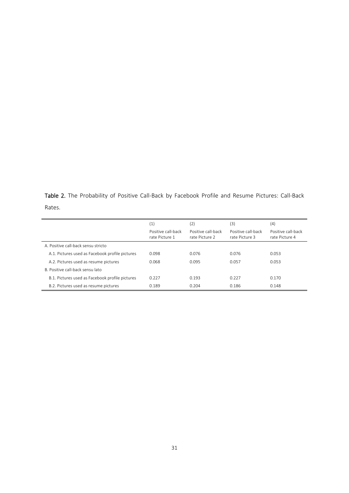Table 2. The Probability of Positive Call-Back by Facebook Profile and Resume Pictures: Call-Back Rates.

|                                                 | (1)<br>Positive call-back<br>rate Picture 1 | (2)<br>Positive call-back<br>rate Picture 2 | (3)<br>Positive call-back<br>rate Picture 3 | (4)<br>Positive call-back<br>rate Picture 4 |
|-------------------------------------------------|---------------------------------------------|---------------------------------------------|---------------------------------------------|---------------------------------------------|
| A. Positive call-back sensu stricto             |                                             |                                             |                                             |                                             |
| A.1. Pictures used as Facebook profile pictures | 0.098                                       | 0.076                                       | 0.076                                       | 0.053                                       |
| A.2. Pictures used as resume pictures           | 0.068                                       | 0.095                                       | 0.057                                       | 0.053                                       |
| B. Positive call-back sensu lato                |                                             |                                             |                                             |                                             |
| B.1. Pictures used as Facebook profile pictures | 0.227                                       | 0.193                                       | 0.227                                       | 0.170                                       |
| B.2. Pictures used as resume pictures           | 0.189                                       | 0.204                                       | 0.186                                       | 0.148                                       |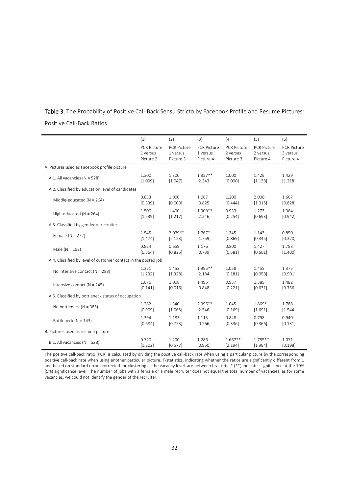| Table 3. The Probability of Positive Call-Back Sensu Stricto by Facebook Profile and Resume Pictures: |  |  |  |  |
|-------------------------------------------------------------------------------------------------------|--|--|--|--|
| Positive Call-Back Ratios.                                                                            |  |  |  |  |

|                                                                | (1)                | (2)                | (3)                | (4)                | (5)                | (6)                |
|----------------------------------------------------------------|--------------------|--------------------|--------------------|--------------------|--------------------|--------------------|
|                                                                | <b>PCR Picture</b> | <b>PCR Picture</b> | <b>PCR Picture</b> | <b>PCR Picture</b> | <b>PCR Picture</b> | <b>PCR Picture</b> |
|                                                                | 1 versus           | 1 versus           | 1 versus           | 2 versus           | 2 versus           | 3 versus           |
|                                                                | Picture 2          | Picture 3          | Picture 4          | Picture 3          | Picture 4          | Picture 4          |
| A. Pictures used as Facebook profile picture                   |                    |                    |                    |                    |                    |                    |
| A.1. All vacancies ( $N = 528$ )                               | 1.300              | 1.300              | $1.857**$          | 1.000              | 1.429              | 1.429              |
|                                                                | [1.099]            | [1.047]            | [2.343]            | [0.000]            | [1.138]            | [1.218]            |
| A.2. Classified by education level of candidates               |                    |                    |                    |                    |                    |                    |
| Middle-educated (N = 264)                                      | 0.833              | 1.000              | 1.667              | 1.200              | 2.000              | 1.667              |
|                                                                | [0.339]            | [0.000]            | [0.825]            | [0.444]            | [1.015]            | [0.828]            |
| High-educated ( $N = 264$ )                                    | 1.500              | 1.400              | 1.909**            | 0.933              | 1.273              | 1.364              |
|                                                                | [1.539]            | [1.217]            | [2.246]            | [0.254]            | [0.693]            | [0.942]            |
| A.3. Classified by gender of recruiter                         |                    |                    |                    |                    |                    |                    |
| Female ( $N = 272$ )                                           | 1.545              | $2.079**$          | $1.767*$           | 1.345              | 1.143              | 0.850              |
|                                                                | [1.474]            | [2.123]            | [1.759]            | [0.869]            | [0.345]            | [0.370]            |
| Male ( $N = 192$ )                                             | 0.824              | 0.659              | 1.176              | 0.800              | 1.427              | 1.783              |
|                                                                | [0.364]            | [0.825]            | [0.739]            | [0.581]            | [0.601]            | [1.400]            |
| A.4. Classified by level of customer contact in the posted job |                    |                    |                    |                    |                    |                    |
| No intensive contact ( $N = 283$ )                             | 1.371              | 1.452              | $1.995**$          | 1.058              | 1.455              | 1.375              |
|                                                                | [1.232]            | [1.328]            | [2.184]            | [0.181]            | [0.958]            | [0.901]            |
| Intensive contact ( $N = 245$ )                                | 1.076              | 1.008              | 1.495              | 0.937              | 1.389              | 1.482              |
|                                                                | [0.141]            | [0.016]            | [0.848]            | [0.221]            | [0.631]            | [0.756]            |
| A.5. Classified by bottleneck status of occupation             |                    |                    |                    |                    |                    |                    |
| No bottleneck (N = 385)                                        | 1.282              | 1.340              | $2.396**$          | 1.045              | 1.869*             | 1.788              |
|                                                                | [0.909]            | [1.065]            | [2.546]            | [0.169]            | [1.691]            | [1.544]            |
| Bottleneck (N = 143)                                           | 1.394              | 1.183              | 1.113              | 0.848              | 0.798              | 0.940              |
|                                                                | [0.684]            | [0.773]            | [0.266]            | [0.336]            | [0.366]            | [0.131]            |
| B. Pictures used as resume picture                             |                    |                    |                    |                    |                    |                    |
| B.1. All vacancies ( $N = 528$ )                               | 0.720              | 1.200              | 1.286              | $1.667**$          | $1.785**$          | 1.071              |
|                                                                | [1.202]            | [0.577]            | [0.950]            | [2.194]            | [1.984]            | [0.198]            |

The positive call‐back ratio (PCR) is calculated by dividing the positive call‐back rate when using a particular picture by the corresponding positive call-back rate when using another particular picture. T-statistics, indicating whether the ratios are significantly different from 1 and based on standard errors corrected for clustering at the vacancy level, are between brackets. \* (\*\*) indicates significance at the 10% (5%) significance level. The number of jobs with a female or a male recruiter does not equal the total number of vacancies, as for some vacancies, we could not identify the gender of the recruiter.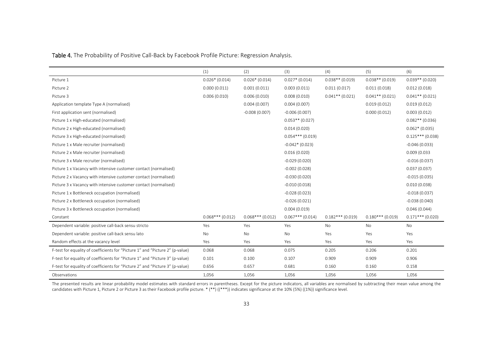Table 4. The Probability of Positive Call‐Back by Facebook Profile Picture: Regression Analysis.

|                                                                               | (1)               | (2)                | (3)                | (4)                | (5)                | (6)                |
|-------------------------------------------------------------------------------|-------------------|--------------------|--------------------|--------------------|--------------------|--------------------|
| Picture 1                                                                     | $0.026*(0.014)$   | $0.026*(0.014)$    | $0.027*(0.014)$    | $0.038**$ (0.019)  | $0.038**$ (0.019)  | $0.039**$ (0.020)  |
| Picture 2                                                                     | 0.000(0.011)      | 0.001(0.011)       | 0.003(0.011)       | 0.011(0.017)       | 0.011(0.018)       | 0.012(0.018)       |
| Picture 3                                                                     | 0.006(0.010)      | 0.006(0.010)       | 0.008(0.010)       | $0.041**$ (0.021)  | $0.041**$ (0.021)  | $0.041**$ (0.021)  |
| Application template Type A (normalised)                                      |                   | 0.004(0.007)       | 0.004(0.007)       |                    | 0.019(0.012)       | 0.019(0.012)       |
| First application sent (normalised)                                           |                   | $-0.008(0.007)$    | $-0.006(0.007)$    |                    | 0.000(0.012)       | 0.003(0.012)       |
| Picture 1 x High-educated (normalised)                                        |                   |                    | $0.053**$ (0.027)  |                    |                    | $0.082**$ (0.036)  |
| Picture 2 x High-educated (normalised)                                        |                   |                    | 0.014(0.020)       |                    |                    | $0.062*(0.035)$    |
| Picture 3 x High-educated (normalised)                                        |                   |                    | $0.054***$ (0.019) |                    |                    | $0.125***$ (0.038) |
| Picture 1 x Male recruiter (normalised)                                       |                   |                    | $-0.042*(0.023)$   |                    |                    | $-0.046(0.033)$    |
| Picture 2 x Male recruiter (normalised)                                       |                   |                    | 0.016(0.020)       |                    |                    | 0.009(0.033)       |
| Picture 3 x Male recruiter (normalised)                                       |                   |                    | $-0.029(0.020)$    |                    |                    | $-0.016(0.037)$    |
| Picture 1 x Vacancy with intensive customer contact (normalised)              |                   |                    | $-0.002(0.028)$    |                    |                    | 0.037(0.037)       |
| Picture 2 x Vacancy with intensive customer contact (normalised)              |                   |                    | $-0.030(0.020)$    |                    |                    | $-0.015(0.035)$    |
| Picture 3 x Vacancy with intensive customer contact (normalised)              |                   |                    | $-0.010(0.018)$    |                    |                    | 0.010(0.038)       |
| Picture 1 x Bottleneck occupation (normalised)                                |                   |                    | $-0.028(0.023)$    |                    |                    | $-0.018(0.037)$    |
| Picture 2 x Bottleneck occupation (normalised)                                |                   |                    | $-0.026(0.021)$    |                    |                    | $-0.038(0.040)$    |
| Picture 3 x Bottleneck occupation (normalised)                                |                   |                    | 0.004(0.019)       |                    |                    | 0.046(0.044)       |
| Constant                                                                      | $0.068***(0.012)$ | $0.068***$ (0.012) | $0.067***$ (0.014) | $0.182***$ (0.019) | $0.180***$ (0.019) | $0.171***$ (0.020) |
| Dependent variable: positive call-back sensu stricto                          | Yes               | Yes                | Yes                | <b>No</b>          | <b>No</b>          | No                 |
| Dependent variable: positive call-back sensu lato                             | No                | No                 | No                 | Yes                | Yes                | Yes                |
| Random effects at the vacancy level                                           | Yes               | Yes                | Yes                | Yes                | Yes                | Yes                |
| F-test for equality of coefficients for "Picture 1" and "Picture 2" (p-value) | 0.068             | 0.068              | 0.075              | 0.205              | 0.206              | 0.201              |
| F-test for equality of coefficients for "Picture 1" and "Picture 3" (p-value) | 0.101             | 0.100              | 0.107              | 0.909              | 0.909              | 0.906              |
| F-test for equality of coefficients for "Picture 2" and "Picture 3" (p-value) | 0.656             | 0.657              | 0.681              | 0.160              | 0.160              | 0.158              |
| Observations                                                                  | 1.056             | 1,056              | 1,056              | 1.056              | 1,056              | 1,056              |

The presented results are linear probability model estimates with standard errors in parentheses. Except for the picture indicators, all variables are normalised by subtracting their mean value among the candidates with Picture 1, Picture 2 or Picture 3 as their Facebook profile picture. \* (\*\*) ((\*\*\*)) indicates significance at the 10% (5%) ((1%)) significance level.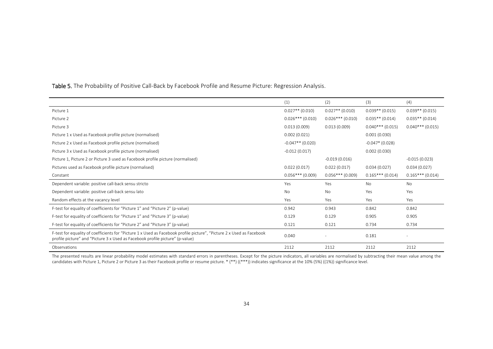|                                                                                                                                                                                                        | (1)                | (2)                | (3)                | (4)                |
|--------------------------------------------------------------------------------------------------------------------------------------------------------------------------------------------------------|--------------------|--------------------|--------------------|--------------------|
| Picture 1                                                                                                                                                                                              | $0.027**$ (0.010)  | $0.027**$ (0.010)  | $0.039**$ (0.015)  | $0.039**$ (0.015)  |
| Picture 2                                                                                                                                                                                              | $0.026***$ (0.010) | $0.026***$ (0.010) | $0.035**$ (0.014)  | $0.035**$ (0.014)  |
| Picture 3                                                                                                                                                                                              | 0.013(0.009)       | 0.013(0.009)       | $0.040***$ (0.015) | $0.040***$ (0.015) |
| Picture 1 x Used as Facebook profile picture (normalised)                                                                                                                                              | 0.002(0.021)       |                    | 0.001(0.030)       |                    |
| Picture 2 x Used as Facebook profile picture (normalised)                                                                                                                                              | $-0.047**$ (0.020) |                    | $-0.047*$ (0.028)  |                    |
| Picture 3 x Used as Facebook profile picture (normalised)                                                                                                                                              | $-0.012(0.017)$    |                    | 0.002(0.030)       |                    |
| Picture 1, Picture 2 or Picture 3 used as Facebook profile picture (normalised)                                                                                                                        |                    | $-0.019(0.016)$    |                    | $-0.015(0.023)$    |
| Pictures used as Facebook profile picture (normalised)                                                                                                                                                 | 0.022(0.017)       | 0.022(0.017)       | 0.034(0.027)       | 0.034(0.027)       |
| Constant                                                                                                                                                                                               | $0.056***$ (0.009) | $0.056***$ (0.009) | $0.165***$ (0.014) | $0.165***(0.014)$  |
| Dependent variable: positive call-back sensu stricto                                                                                                                                                   | Yes                | Yes                | No                 | No                 |
| Dependent variable: positive call-back sensu lato                                                                                                                                                      | <b>No</b>          | <b>No</b>          | Yes                | Yes                |
| Random effects at the vacancy level                                                                                                                                                                    | Yes                | Yes                | Yes                | Yes                |
| F-test for equality of coefficients for "Picture 1" and "Picture 2" (p-value)                                                                                                                          | 0.942              | 0.943              | 0.842              | 0.842              |
| F-test for equality of coefficients for "Picture 1" and "Picture 3" (p-value)                                                                                                                          | 0.129              | 0.129              | 0.905              | 0.905              |
| F-test for equality of coefficients for "Picture 2" and "Picture 3" (p-value)                                                                                                                          | 0.121              | 0.121              | 0.734              | 0.734              |
| F-test for equality of coefficients for "Picture 1 x Used as Facebook profile picture", "Picture 2 x Used as Facebook<br>profile picture" and "Picture 3 x Used as Facebook profile picture" (p-value) | 0.040              |                    | 0.181              |                    |
| Observations                                                                                                                                                                                           | 2112               | 2112               | 2112               | 2112               |

**Table 5.** The Probability of Positive Call-Back by Facebook Profile and Resume Picture: Regression Analysis.

The presented results are linear probability model estimates with standard errors in parentheses. Except for the picture indicators, all variables are normalised by subtracting their mean value among the candidates with Picture 1, Picture 2 or Picture 3 as their Facebook profile or resume picture. \* (\*\*) ((\*\*\*)) indicates significance at the 10% (5%) ((1%)) significance level.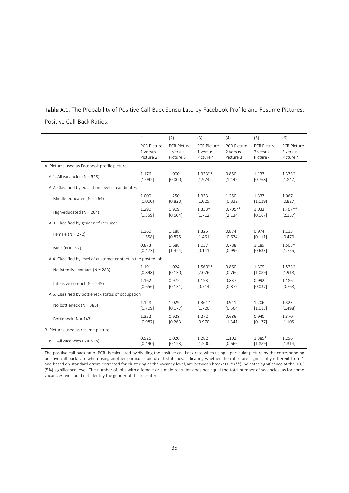|                            | Table A.1. The Probability of Positive Call-Back Sensu Lato by Facebook Profile and Resume Pictures: |  |  |  |  |
|----------------------------|------------------------------------------------------------------------------------------------------|--|--|--|--|
| Positive Call-Back Ratios. |                                                                                                      |  |  |  |  |

|                                                                | (1)         | (2)                | (3)                | (4)                | (5)                | (6)                |
|----------------------------------------------------------------|-------------|--------------------|--------------------|--------------------|--------------------|--------------------|
|                                                                | PCR Picture | <b>PCR Picture</b> | <b>PCR Picture</b> | <b>PCR Picture</b> | <b>PCR Picture</b> | <b>PCR Picture</b> |
|                                                                | 1 versus    | 1 versus           | 1 versus           | 2 versus           | 2 versus           | 3 versus           |
|                                                                | Picture 2   | Picture 3          | Picture 4          | Picture 3          | Picture 4          | Picture 4          |
| A. Pictures used as Facebook profile picture                   |             |                    |                    |                    |                    |                    |
| A.1. All vacancies ( $N = 528$ )                               | 1.176       | 1.000              | $1.333**$          | 0.850              | 1.133              | $1.333*$           |
|                                                                | [1.092]     | [0.000]            | [1.974]            | [1.149]            | [0.768]            | [1.847]            |
| A.2. Classified by education level of candidates               |             |                    |                    |                    |                    |                    |
| Middle-educated ( $N = 264$ )                                  | 1.000       | 1.250              | 1.333              | 1.250              | 1.333              | 1.067              |
|                                                                | [0.000]     | [0.820]            | [1.029]            | [0.832]            | [1.029]            | [0.827]            |
| High-educated ( $N = 264$ )                                    | 1.290       | 0.909              | $1.333*$           | $0.705**$          | 1.033              | $1.467**$          |
|                                                                | [1.359]     | [0.604]            | [1.712]            | [2.134]            | [0.167]            | [2.157]            |
| A.3. Classified by gender of recruiter                         |             |                    |                    |                    |                    |                    |
| Female ( $N = 272$ )                                           | 1.360       | 1.188              | 1.325              | 0.874              | 0.974              | 1.115              |
|                                                                | [1.558]     | [0.875]            | [1.461]            | [0.674]            | [0.111]            | [0.470]            |
| Male ( $N = 192$ )                                             | 0.873       | 0.688              | 1.037              | 0.788              | 1.189              | 1.508*             |
|                                                                | [0.473]     | [1.424]            | [0.141]            | [0.996]            | [0.633]            | [1.755]            |
| A.4. Classified by level of customer contact in the posted job |             |                    |                    |                    |                    |                    |
| No intensive contact ( $N = 283$ )                             | 1.191       | 1.024              | 1.560**            | 0.860              | 1.309              | $1.523*$           |
|                                                                | [0.898]     | [0.130]            | [2.076]            | [0.760]            | [1.089]            | [1.918]            |
| Intensive contact ( $N = 245$ )                                | 1.162       | 0.972              | 1.153              | 0.837              | 0.992              | 1.186              |
|                                                                | [0.656]     | [0.131]            | [0.714]            | [0.879]            | [0.037]            | [0.768]            |
| A.5. Classified by bottleneck status of occupation             |             |                    |                    |                    |                    |                    |
| No bottleneck (N = 385)                                        | 1.128       | 1.029              | $1.361*$           | 0.911              | 1.206              | 1.323              |
|                                                                | [0.709]     | [0.177]            | [1.720]            | [0.564]            | [1.013]            | [1.498]            |
| Bottleneck (N = 143)                                           | 1.352       | 0.928              | 1.272              | 0.686              | 0.940              | 1.370              |
|                                                                | [0.987]     | [0.263]            | [0.970]            | [1.341]            | [0.177]            | [1.105]            |
| B. Pictures used as resume picture                             |             |                    |                    |                    |                    |                    |
| B.1. All vacancies ( $N = 528$ )                               | 0.926       | 1.020              | 1.282              | 1.102              | 1.385*             | 1.256              |
|                                                                | [0.490]     | [0.123]            | [1.500]            | [0.666]            | [1.889]            | [1.314]            |

The positive call‐back ratio (PCR) is calculated by dividing the positive call‐back rate when using a particular picture by the corresponding positive call-back rate when using another particular picture. T-statistics, indicating whether the ratios are significantly different from 1 and based on standard errors corrected for clustering at the vacancy level, are between brackets. \* (\*\*) indicates significance at the 10% (5%) significance level. The number of jobs with a female or a male recruiter does not equal the total number of vacancies, as for some vacancies, we could not identify the gender of the recruiter.